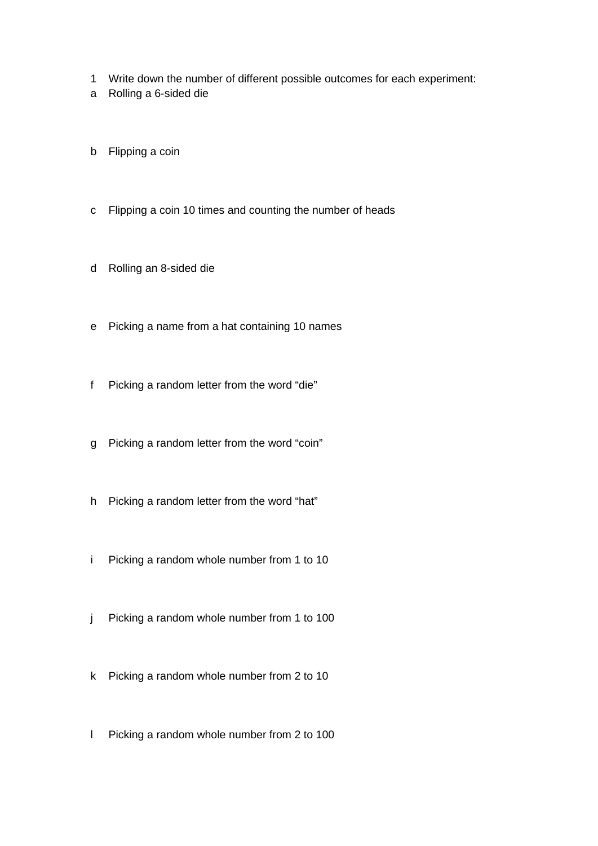- 1 Write down the number of different possible outcomes for each experiment:
- a Rolling a 6-sided die
- b Flipping a coin
- c Flipping a coin 10 times and counting the number of heads
- d Rolling an 8-sided die
- e Picking a name from a hat containing 10 names
- f Picking a random letter from the word "die"
- g Picking a random letter from the word "coin"
- h Picking a random letter from the word "hat"
- i Picking a random whole number from 1 to 10
- j Picking a random whole number from 1 to 100
- k Picking a random whole number from 2 to 10
- l Picking a random whole number from 2 to 100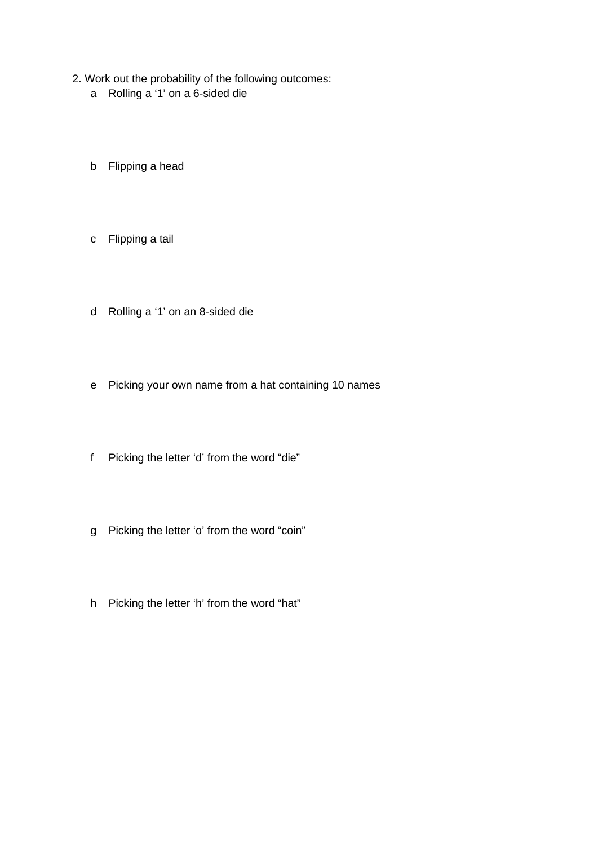- 2. Work out the probability of the following outcomes:
	- a Rolling a '1' on a 6-sided die
	- b Flipping a head
	- c Flipping a tail
	- d Rolling a '1' on an 8-sided die
	- e Picking your own name from a hat containing 10 names
	- f Picking the letter 'd' from the word "die"
	- g Picking the letter 'o' from the word "coin"
	- h Picking the letter 'h' from the word "hat"